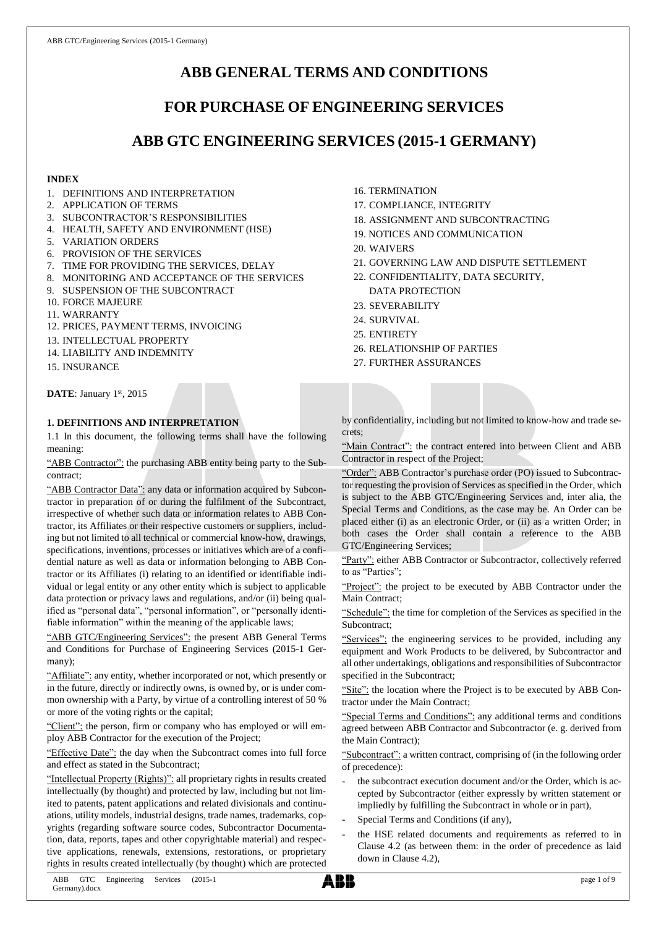# **ABB GENERAL TERMS AND CONDITIONS**

# **FOR PURCHASE OF ENGINEERING SERVICES**

# **ABB GTC ENGINEERING SERVICES (2015-1 GERMANY)**

# **INDEX**

- 1. DEFINITIONS AND INTERPRETATION
- 2. APPLICATION OF TERMS
- 3. SUBCONTRACTOR'S RESPONSIBILITIES
- 4. HEALTH, SAFETY AND ENVIRONMENT (HSE)
- 5. VARIATION ORDERS
- 6. PROVISION OF THE SERVICES
- 7. TIME FOR PROVIDING THE SERVICES, DELAY
- 8. MONITORING AND ACCEPTANCE OF THE SERVICES
- 9. SUSPENSION OF THE SUBCONTRACT
- 10. FORCE MAJEURE
- 11. WARRANTY
- 12. PRICES, PAYMENT TERMS, INVOICING
- 13. INTELLECTUAL PROPERTY
- 14. LIABILITY AND INDEMNITY
- 15. INSURANCE

DATE: January 1st, 2015

# **1. DEFINITIONS AND INTERPRETATION**

1.1 In this document, the following terms shall have the following meaning:

"ABB Contractor": the purchasing ABB entity being party to the Subcontract;

"ABB Contractor Data": any data or information acquired by Subcontractor in preparation of or during the fulfilment of the Subcontract, irrespective of whether such data or information relates to ABB Contractor, its Affiliates or their respective customers or suppliers, including but not limited to all technical or commercial know-how, drawings, specifications, inventions, processes or initiatives which are of a confidential nature as well as data or information belonging to ABB Contractor or its Affiliates (i) relating to an identified or identifiable individual or legal entity or any other entity which is subject to applicable data protection or privacy laws and regulations, and/or (ii) being qualified as "personal data", "personal information", or "personally identifiable information" within the meaning of the applicable laws;

"ABB GTC/Engineering Services": the present ABB General Terms and Conditions for Purchase of Engineering Services (2015-1 Germany);

"Affiliate": any entity, whether incorporated or not, which presently or in the future, directly or indirectly owns, is owned by, or is under common ownership with a Party, by virtue of a controlling interest of 50 % or more of the voting rights or the capital;

"Client": the person, firm or company who has employed or will employ ABB Contractor for the execution of the Project;

"Effective Date": the day when the Subcontract comes into full force and effect as stated in the Subcontract;

"Intellectual Property (Rights)": all proprietary rights in results created intellectually (by thought) and protected by law, including but not limited to patents, patent applications and related divisionals and continuations, utility models, industrial designs, trade names, trademarks, copyrights (regarding software source codes, Subcontractor Documentation, data, reports, tapes and other copyrightable material) and respective applications, renewals, extensions, restorations, or proprietary rights in results created intellectually (by thought) which are protected 16. TERMINATION

- 17. COMPLIANCE, INTEGRITY
- 18. ASSIGNMENT AND SUBCONTRACTING
- 19. NOTICES AND COMMUNICATION
- 20. WAIVERS
- 21. GOVERNING LAW AND DISPUTE SETTLEMENT
- 22. CONFIDENTIALITY, DATA SECURITY, DATA PROTECTION
- 23. SEVERABILITY
- 24. SURVIVAL
- 25. ENTIRETY
- 26. RELATIONSHIP OF PARTIES
- 27. FURTHER ASSURANCES

by confidentiality, including but not limited to know-how and trade secrets;

"Main Contract": the contract entered into between Client and ABB Contractor in respect of the Project;

"Order": ABB Contractor's purchase order (PO) issued to Subcontractor requesting the provision of Services as specified in the Order, which is subject to the ABB GTC/Engineering Services and, inter alia, the Special Terms and Conditions, as the case may be. An Order can be placed either (i) as an electronic Order, or (ii) as a written Order; in both cases the Order shall contain a reference to the ABB GTC/Engineering Services;

"Party": either ABB Contractor or Subcontractor, collectively referred to as "Parties";

"Project": the project to be executed by ABB Contractor under the Main Contract;

"Schedule": the time for completion of the Services as specified in the Subcontract;

"Services": the engineering services to be provided, including any equipment and Work Products to be delivered, by Subcontractor and all other undertakings, obligations and responsibilities of Subcontractor specified in the Subcontract;

"Site": the location where the Project is to be executed by ABB Contractor under the Main Contract;

"Special Terms and Conditions": any additional terms and conditions agreed between ABB Contractor and Subcontractor (e. g. derived from the Main Contract);

"Subcontract": a written contract, comprising of (in the following order of precedence):

- the subcontract execution document and/or the Order, which is accepted by Subcontractor (either expressly by written statement or impliedly by fulfilling the Subcontract in whole or in part),
- Special Terms and Conditions (if any),
- the HSE related documents and requirements as referred to in Clause 4.2 (as between them: in the order of precedence as laid down in Clause 4.2),

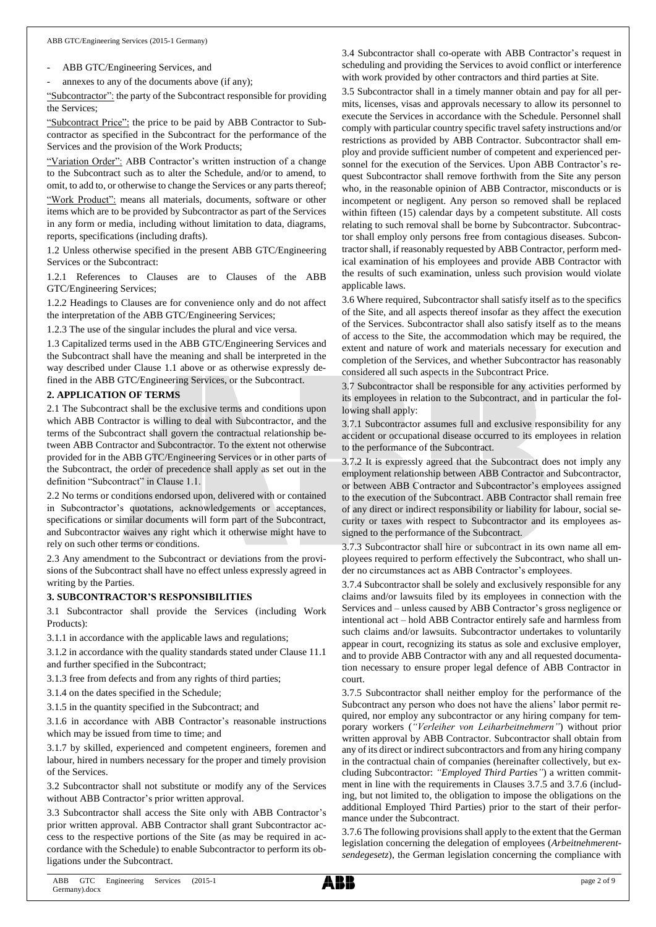ABB GTC/Engineering Services, and

annexes to any of the documents above (if any);

"Subcontractor": the party of the Subcontract responsible for providing the Services;

"Subcontract Price": the price to be paid by ABB Contractor to Subcontractor as specified in the Subcontract for the performance of the Services and the provision of the Work Products;

"Variation Order": ABB Contractor's written instruction of a change to the Subcontract such as to alter the Schedule, and/or to amend, to omit, to add to, or otherwise to change the Services or any parts thereof; "Work Product": means all materials, documents, software or other items which are to be provided by Subcontractor as part of the Services in any form or media, including without limitation to data, diagrams, reports, specifications (including drafts).

1.2 Unless otherwise specified in the present ABB GTC/Engineering Services or the Subcontract:

1.2.1 References to Clauses are to Clauses of the ABB GTC/Engineering Services;

1.2.2 Headings to Clauses are for convenience only and do not affect the interpretation of the ABB GTC/Engineering Services;

1.2.3 The use of the singular includes the plural and vice versa.

1.3 Capitalized terms used in the ABB GTC/Engineering Services and the Subcontract shall have the meaning and shall be interpreted in the way described under Clause 1.1 above or as otherwise expressly defined in the ABB GTC/Engineering Services, or the Subcontract.

#### **2. APPLICATION OF TERMS**

2.1 The Subcontract shall be the exclusive terms and conditions upon which ABB Contractor is willing to deal with Subcontractor, and the terms of the Subcontract shall govern the contractual relationship between ABB Contractor and Subcontractor. To the extent not otherwise provided for in the ABB GTC/Engineering Services or in other parts of the Subcontract, the order of precedence shall apply as set out in the definition "Subcontract" in Clause 1.1.

2.2 No terms or conditions endorsed upon, delivered with or contained in Subcontractor's quotations, acknowledgements or acceptances, specifications or similar documents will form part of the Subcontract, and Subcontractor waives any right which it otherwise might have to rely on such other terms or conditions.

2.3 Any amendment to the Subcontract or deviations from the provisions of the Subcontract shall have no effect unless expressly agreed in writing by the Parties.

#### **3. SUBCONTRACTOR'S RESPONSIBILITIES**

3.1 Subcontractor shall provide the Services (including Work Products):

3.1.1 in accordance with the applicable laws and regulations;

3.1.2 in accordance with the quality standards stated under Clause 11.1 and further specified in the Subcontract;

3.1.3 free from defects and from any rights of third parties;

3.1.4 on the dates specified in the Schedule;

3.1.5 in the quantity specified in the Subcontract; and

3.1.6 in accordance with ABB Contractor's reasonable instructions which may be issued from time to time; and

3.1.7 by skilled, experienced and competent engineers, foremen and labour, hired in numbers necessary for the proper and timely provision of the Services.

3.2 Subcontractor shall not substitute or modify any of the Services without ABB Contractor's prior written approval.

3.3 Subcontractor shall access the Site only with ABB Contractor's prior written approval. ABB Contractor shall grant Subcontractor access to the respective portions of the Site (as may be required in accordance with the Schedule) to enable Subcontractor to perform its obligations under the Subcontract.

3.4 Subcontractor shall co-operate with ABB Contractor's request in scheduling and providing the Services to avoid conflict or interference with work provided by other contractors and third parties at Site.

3.5 Subcontractor shall in a timely manner obtain and pay for all permits, licenses, visas and approvals necessary to allow its personnel to execute the Services in accordance with the Schedule. Personnel shall comply with particular country specific travel safety instructions and/or restrictions as provided by ABB Contractor. Subcontractor shall employ and provide sufficient number of competent and experienced personnel for the execution of the Services. Upon ABB Contractor's request Subcontractor shall remove forthwith from the Site any person who, in the reasonable opinion of ABB Contractor, misconducts or is incompetent or negligent. Any person so removed shall be replaced within fifteen (15) calendar days by a competent substitute. All costs relating to such removal shall be borne by Subcontractor. Subcontractor shall employ only persons free from contagious diseases. Subcontractor shall, if reasonably requested by ABB Contractor, perform medical examination of his employees and provide ABB Contractor with the results of such examination, unless such provision would violate applicable laws.

3.6 Where required, Subcontractor shall satisfy itself as to the specifics of the Site, and all aspects thereof insofar as they affect the execution of the Services. Subcontractor shall also satisfy itself as to the means of access to the Site, the accommodation which may be required, the extent and nature of work and materials necessary for execution and completion of the Services, and whether Subcontractor has reasonably considered all such aspects in the Subcontract Price.

3.7 Subcontractor shall be responsible for any activities performed by its employees in relation to the Subcontract, and in particular the following shall apply:

3.7.1 Subcontractor assumes full and exclusive responsibility for any accident or occupational disease occurred to its employees in relation to the performance of the Subcontract.

3.7.2 It is expressly agreed that the Subcontract does not imply any employment relationship between ABB Contractor and Subcontractor, or between ABB Contractor and Subcontractor's employees assigned to the execution of the Subcontract. ABB Contractor shall remain free of any direct or indirect responsibility or liability for labour, social security or taxes with respect to Subcontractor and its employees assigned to the performance of the Subcontract.

3.7.3 Subcontractor shall hire or subcontract in its own name all employees required to perform effectively the Subcontract, who shall under no circumstances act as ABB Contractor's employees.

3.7.4 Subcontractor shall be solely and exclusively responsible for any claims and/or lawsuits filed by its employees in connection with the Services and – unless caused by ABB Contractor's gross negligence or intentional act – hold ABB Contractor entirely safe and harmless from such claims and/or lawsuits. Subcontractor undertakes to voluntarily appear in court, recognizing its status as sole and exclusive employer, and to provide ABB Contractor with any and all requested documentation necessary to ensure proper legal defence of ABB Contractor in court.

3.7.5 Subcontractor shall neither employ for the performance of the Subcontract any person who does not have the aliens' labor permit required, nor employ any subcontractor or any hiring company for temporary workers (*"Verleiher von Leiharbeitnehmern"*) without prior written approval by ABB Contractor. Subcontractor shall obtain from any of its direct or indirect subcontractors and from any hiring company in the contractual chain of companies (hereinafter collectively, but excluding Subcontractor: *"Employed Third Parties"*) a written commitment in line with the requirements in Clauses 3.7.5 and 3.7.6 (including, but not limited to, the obligation to impose the obligations on the additional Employed Third Parties) prior to the start of their performance under the Subcontract.

3.7.6 The following provisions shall apply to the extent that the German legislation concerning the delegation of employees (*Arbeitnehmerentsendegesetz*), the German legislation concerning the compliance with

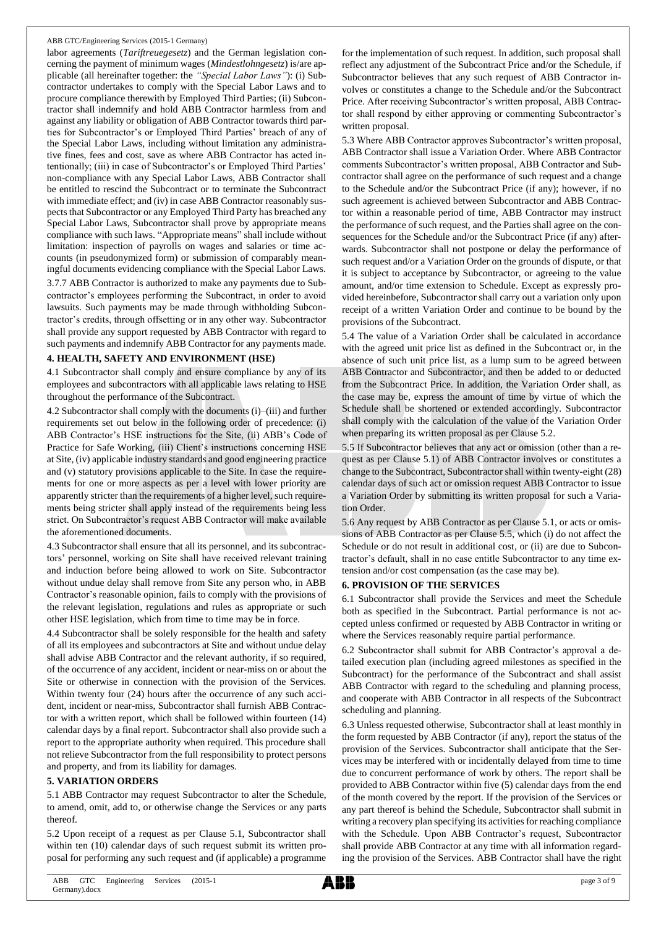labor agreements (*Tariftreuegesetz*) and the German legislation concerning the payment of minimum wages (*Mindestlohngesetz*) is/are applicable (all hereinafter together: the *"Special Labor Laws"*): (i) Subcontractor undertakes to comply with the Special Labor Laws and to procure compliance therewith by Employed Third Parties; (ii) Subcontractor shall indemnify and hold ABB Contractor harmless from and against any liability or obligation of ABB Contractor towards third parties for Subcontractor's or Employed Third Parties' breach of any of the Special Labor Laws, including without limitation any administrative fines, fees and cost, save as where ABB Contractor has acted intentionally; (iii) in case of Subcontractor's or Employed Third Parties' non-compliance with any Special Labor Laws, ABB Contractor shall be entitled to rescind the Subcontract or to terminate the Subcontract with immediate effect; and (iv) in case ABB Contractor reasonably suspects that Subcontractor or any Employed Third Party has breached any Special Labor Laws, Subcontractor shall prove by appropriate means compliance with such laws. "Appropriate means" shall include without limitation: inspection of payrolls on wages and salaries or time accounts (in pseudonymized form) or submission of comparably meaningful documents evidencing compliance with the Special Labor Laws. 3.7.7 ABB Contractor is authorized to make any payments due to Subcontractor's employees performing the Subcontract, in order to avoid lawsuits. Such payments may be made through withholding Subcontractor's credits, through offsetting or in any other way. Subcontractor shall provide any support requested by ABB Contractor with regard to

such payments and indemnify ABB Contractor for any payments made. **4. HEALTH, SAFETY AND ENVIRONMENT (HSE)**

4.1 Subcontractor shall comply and ensure compliance by any of its employees and subcontractors with all applicable laws relating to HSE throughout the performance of the Subcontract.

4.2 Subcontractor shall comply with the documents (i)–(iii) and further requirements set out below in the following order of precedence: (i) ABB Contractor's HSE instructions for the Site, (ii) ABB's Code of Practice for Safe Working, (iii) Client's instructions concerning HSE at Site, (iv) applicable industry standards and good engineering practice and (v) statutory provisions applicable to the Site. In case the requirements for one or more aspects as per a level with lower priority are apparently stricter than the requirements of a higher level, such requirements being stricter shall apply instead of the requirements being less strict. On Subcontractor's request ABB Contractor will make available the aforementioned documents.

4.3 Subcontractor shall ensure that all its personnel, and its subcontractors' personnel, working on Site shall have received relevant training and induction before being allowed to work on Site. Subcontractor without undue delay shall remove from Site any person who, in ABB Contractor's reasonable opinion, fails to comply with the provisions of the relevant legislation, regulations and rules as appropriate or such other HSE legislation, which from time to time may be in force.

4.4 Subcontractor shall be solely responsible for the health and safety of all its employees and subcontractors at Site and without undue delay shall advise ABB Contractor and the relevant authority, if so required, of the occurrence of any accident, incident or near-miss on or about the Site or otherwise in connection with the provision of the Services. Within twenty four (24) hours after the occurrence of any such accident, incident or near-miss, Subcontractor shall furnish ABB Contractor with a written report, which shall be followed within fourteen (14) calendar days by a final report. Subcontractor shall also provide such a report to the appropriate authority when required. This procedure shall not relieve Subcontractor from the full responsibility to protect persons and property, and from its liability for damages.

## **5. VARIATION ORDERS**

5.1 ABB Contractor may request Subcontractor to alter the Schedule, to amend, omit, add to, or otherwise change the Services or any parts thereof.

5.2 Upon receipt of a request as per Clause 5.1, Subcontractor shall within ten (10) calendar days of such request submit its written proposal for performing any such request and (if applicable) a programme

for the implementation of such request. In addition, such proposal shall reflect any adjustment of the Subcontract Price and/or the Schedule, if Subcontractor believes that any such request of ABB Contractor involves or constitutes a change to the Schedule and/or the Subcontract Price. After receiving Subcontractor's written proposal, ABB Contractor shall respond by either approving or commenting Subcontractor's written proposal.

5.3 Where ABB Contractor approves Subcontractor's written proposal, ABB Contractor shall issue a Variation Order. Where ABB Contractor comments Subcontractor's written proposal, ABB Contractor and Subcontractor shall agree on the performance of such request and a change to the Schedule and/or the Subcontract Price (if any); however, if no such agreement is achieved between Subcontractor and ABB Contractor within a reasonable period of time, ABB Contractor may instruct the performance of such request, and the Parties shall agree on the consequences for the Schedule and/or the Subcontract Price (if any) afterwards. Subcontractor shall not postpone or delay the performance of such request and/or a Variation Order on the grounds of dispute, or that it is subject to acceptance by Subcontractor, or agreeing to the value amount, and/or time extension to Schedule. Except as expressly provided hereinbefore, Subcontractor shall carry out a variation only upon receipt of a written Variation Order and continue to be bound by the provisions of the Subcontract.

5.4 The value of a Variation Order shall be calculated in accordance with the agreed unit price list as defined in the Subcontract or, in the absence of such unit price list, as a lump sum to be agreed between ABB Contractor and Subcontractor, and then be added to or deducted from the Subcontract Price. In addition, the Variation Order shall, as the case may be, express the amount of time by virtue of which the Schedule shall be shortened or extended accordingly. Subcontractor shall comply with the calculation of the value of the Variation Order when preparing its written proposal as per Clause 5.2.

5.5 If Subcontractor believes that any act or omission (other than a request as per Clause 5.1) of ABB Contractor involves or constitutes a change to the Subcontract, Subcontractor shall within twenty-eight (28) calendar days of such act or omission request ABB Contractor to issue a Variation Order by submitting its written proposal for such a Variation Order.

5.6 Any request by ABB Contractor as per Clause 5.1, or acts or omissions of ABB Contractor as per Clause 5.5, which (i) do not affect the Schedule or do not result in additional cost, or (ii) are due to Subcontractor's default, shall in no case entitle Subcontractor to any time extension and/or cost compensation (as the case may be).

## **6. PROVISION OF THE SERVICES**

6.1 Subcontractor shall provide the Services and meet the Schedule both as specified in the Subcontract. Partial performance is not accepted unless confirmed or requested by ABB Contractor in writing or where the Services reasonably require partial performance.

6.2 Subcontractor shall submit for ABB Contractor's approval a detailed execution plan (including agreed milestones as specified in the Subcontract) for the performance of the Subcontract and shall assist ABB Contractor with regard to the scheduling and planning process, and cooperate with ABB Contractor in all respects of the Subcontract scheduling and planning.

6.3 Unless requested otherwise, Subcontractor shall at least monthly in the form requested by ABB Contractor (if any), report the status of the provision of the Services. Subcontractor shall anticipate that the Services may be interfered with or incidentally delayed from time to time due to concurrent performance of work by others. The report shall be provided to ABB Contractor within five (5) calendar days from the end of the month covered by the report. If the provision of the Services or any part thereof is behind the Schedule, Subcontractor shall submit in writing a recovery plan specifying its activities for reaching compliance with the Schedule. Upon ABB Contractor's request, Subcontractor shall provide ABB Contractor at any time with all information regarding the provision of the Services. ABB Contractor shall have the right

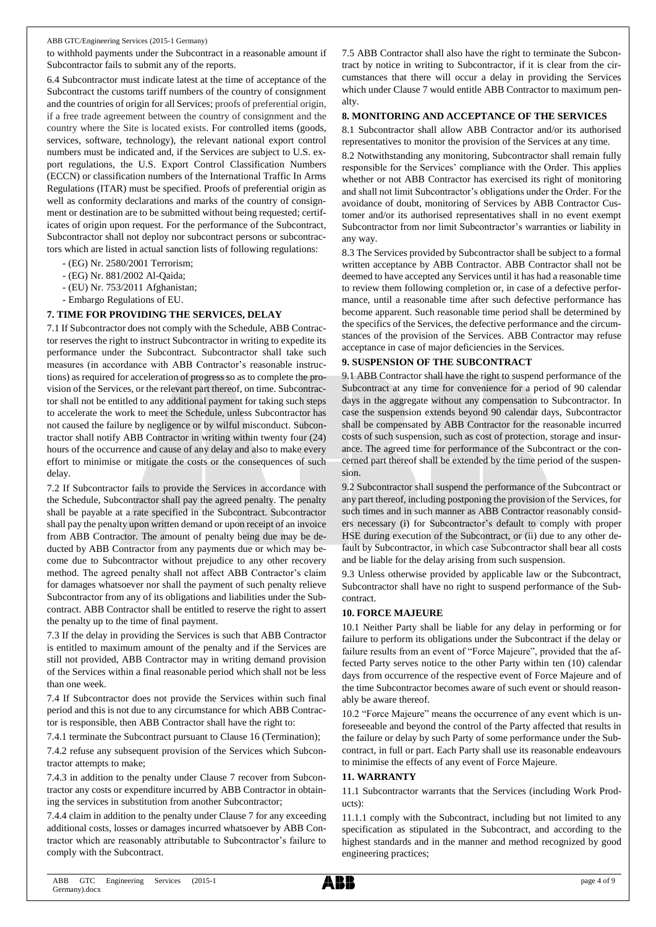to withhold payments under the Subcontract in a reasonable amount if Subcontractor fails to submit any of the reports.

6.4 Subcontractor must indicate latest at the time of acceptance of the Subcontract the customs tariff numbers of the country of consignment and the countries of origin for all Services; proofs of preferential origin, if a free trade agreement between the country of consignment and the country where the Site is located exists. For controlled items (goods, services, software, technology), the relevant national export control numbers must be indicated and, if the Services are subject to U.S. export regulations, the U.S. Export Control Classification Numbers (ECCN) or classification numbers of the International Traffic In Arms Regulations (ITAR) must be specified. Proofs of preferential origin as well as conformity declarations and marks of the country of consignment or destination are to be submitted without being requested; certificates of origin upon request. For the performance of the Subcontract, Subcontractor shall not deploy nor subcontract persons or subcontractors which are listed in actual sanction lists of following regulations:

- (EG) Nr. 2580/2001 Terrorism;
- (EG) Nr. 881/2002 Al-Qaida;
- (EU) Nr. 753/2011 Afghanistan;
- Embargo Regulations of EU.

# **7. TIME FOR PROVIDING THE SERVICES, DELAY**

7.1 If Subcontractor does not comply with the Schedule, ABB Contractor reserves the right to instruct Subcontractor in writing to expedite its performance under the Subcontract. Subcontractor shall take such measures (in accordance with ABB Contractor's reasonable instructions) as required for acceleration of progress so as to complete the provision of the Services, or the relevant part thereof, on time. Subcontractor shall not be entitled to any additional payment for taking such steps to accelerate the work to meet the Schedule, unless Subcontractor has not caused the failure by negligence or by wilful misconduct. Subcontractor shall notify ABB Contractor in writing within twenty four (24) hours of the occurrence and cause of any delay and also to make every effort to minimise or mitigate the costs or the consequences of such delay.

7.2 If Subcontractor fails to provide the Services in accordance with the Schedule, Subcontractor shall pay the agreed penalty. The penalty shall be payable at a rate specified in the Subcontract. Subcontractor shall pay the penalty upon written demand or upon receipt of an invoice from ABB Contractor. The amount of penalty being due may be deducted by ABB Contractor from any payments due or which may become due to Subcontractor without prejudice to any other recovery method. The agreed penalty shall not affect ABB Contractor's claim for damages whatsoever nor shall the payment of such penalty relieve Subcontractor from any of its obligations and liabilities under the Subcontract. ABB Contractor shall be entitled to reserve the right to assert the penalty up to the time of final payment.

7.3 If the delay in providing the Services is such that ABB Contractor is entitled to maximum amount of the penalty and if the Services are still not provided, ABB Contractor may in writing demand provision of the Services within a final reasonable period which shall not be less than one week.

7.4 If Subcontractor does not provide the Services within such final period and this is not due to any circumstance for which ABB Contractor is responsible, then ABB Contractor shall have the right to:

7.4.1 terminate the Subcontract pursuant to Clause 16 (Termination);

7.4.2 refuse any subsequent provision of the Services which Subcontractor attempts to make;

7.4.3 in addition to the penalty under Clause 7 recover from Subcontractor any costs or expenditure incurred by ABB Contractor in obtaining the services in substitution from another Subcontractor;

7.4.4 claim in addition to the penalty under Clause 7 for any exceeding additional costs, losses or damages incurred whatsoever by ABB Contractor which are reasonably attributable to Subcontractor's failure to comply with the Subcontract.

7.5 ABB Contractor shall also have the right to terminate the Subcontract by notice in writing to Subcontractor, if it is clear from the circumstances that there will occur a delay in providing the Services which under Clause 7 would entitle ABB Contractor to maximum penalty.

# **8. MONITORING AND ACCEPTANCE OF THE SERVICES**

8.1 Subcontractor shall allow ABB Contractor and/or its authorised representatives to monitor the provision of the Services at any time.

8.2 Notwithstanding any monitoring, Subcontractor shall remain fully responsible for the Services' compliance with the Order. This applies whether or not ABB Contractor has exercised its right of monitoring and shall not limit Subcontractor's obligations under the Order. For the avoidance of doubt, monitoring of Services by ABB Contractor Customer and/or its authorised representatives shall in no event exempt Subcontractor from nor limit Subcontractor's warranties or liability in any way.

8.3 The Services provided by Subcontractor shall be subject to a formal written acceptance by ABB Contractor. ABB Contractor shall not be deemed to have accepted any Services until it has had a reasonable time to review them following completion or, in case of a defective performance, until a reasonable time after such defective performance has become apparent. Such reasonable time period shall be determined by the specifics of the Services, the defective performance and the circumstances of the provision of the Services. ABB Contractor may refuse acceptance in case of major deficiencies in the Services.

# **9. SUSPENSION OF THE SUBCONTRACT**

9.1 ABB Contractor shall have the right to suspend performance of the Subcontract at any time for convenience for a period of 90 calendar days in the aggregate without any compensation to Subcontractor. In case the suspension extends beyond 90 calendar days, Subcontractor shall be compensated by ABB Contractor for the reasonable incurred costs of such suspension, such as cost of protection, storage and insurance. The agreed time for performance of the Subcontract or the concerned part thereof shall be extended by the time period of the suspension.

9.2 Subcontractor shall suspend the performance of the Subcontract or any part thereof, including postponing the provision of the Services, for such times and in such manner as ABB Contractor reasonably considers necessary (i) for Subcontractor's default to comply with proper HSE during execution of the Subcontract, or (ii) due to any other default by Subcontractor, in which case Subcontractor shall bear all costs and be liable for the delay arising from such suspension.

9.3 Unless otherwise provided by applicable law or the Subcontract, Subcontractor shall have no right to suspend performance of the Subcontract.

# **10. FORCE MAJEURE**

10.1 Neither Party shall be liable for any delay in performing or for failure to perform its obligations under the Subcontract if the delay or failure results from an event of "Force Majeure", provided that the affected Party serves notice to the other Party within ten (10) calendar days from occurrence of the respective event of Force Majeure and of the time Subcontractor becomes aware of such event or should reasonably be aware thereof.

10.2 "Force Majeure" means the occurrence of any event which is unforeseeable and beyond the control of the Party affected that results in the failure or delay by such Party of some performance under the Subcontract, in full or part. Each Party shall use its reasonable endeavours to minimise the effects of any event of Force Majeure.

# **11. WARRANTY**

11.1 Subcontractor warrants that the Services (including Work Products):

11.1.1 comply with the Subcontract, including but not limited to any specification as stipulated in the Subcontract, and according to the highest standards and in the manner and method recognized by good engineering practices;

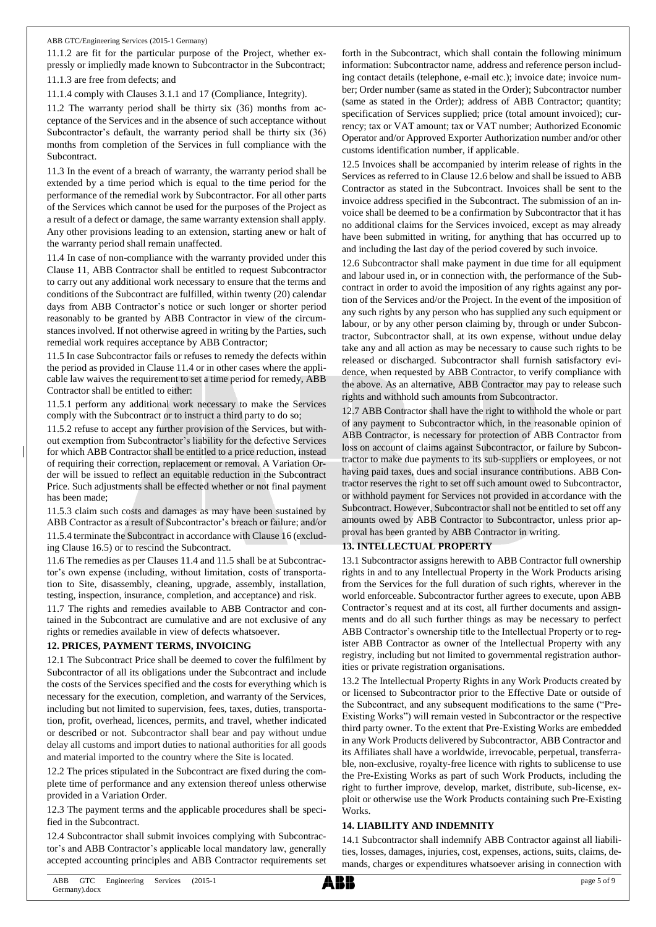11.1.2 are fit for the particular purpose of the Project, whether expressly or impliedly made known to Subcontractor in the Subcontract; 11.1.3 are free from defects; and

11.1.4 comply with Clauses 3.1.1 and 17 (Compliance, Integrity).

11.2 The warranty period shall be thirty six (36) months from acceptance of the Services and in the absence of such acceptance without Subcontractor's default, the warranty period shall be thirty six (36) months from completion of the Services in full compliance with the Subcontract.

11.3 In the event of a breach of warranty, the warranty period shall be extended by a time period which is equal to the time period for the performance of the remedial work by Subcontractor. For all other parts of the Services which cannot be used for the purposes of the Project as a result of a defect or damage, the same warranty extension shall apply. Any other provisions leading to an extension, starting anew or halt of the warranty period shall remain unaffected.

11.4 In case of non-compliance with the warranty provided under this Clause 11, ABB Contractor shall be entitled to request Subcontractor to carry out any additional work necessary to ensure that the terms and conditions of the Subcontract are fulfilled, within twenty (20) calendar days from ABB Contractor's notice or such longer or shorter period reasonably to be granted by ABB Contractor in view of the circumstances involved. If not otherwise agreed in writing by the Parties, such remedial work requires acceptance by ABB Contractor;

11.5 In case Subcontractor fails or refuses to remedy the defects within the period as provided in Clause 11.4 or in other cases where the applicable law waives the requirement to set a time period for remedy, ABB Contractor shall be entitled to either:

11.5.1 perform any additional work necessary to make the Services comply with the Subcontract or to instruct a third party to do so;

11.5.2 refuse to accept any further provision of the Services, but without exemption from Subcontractor's liability for the defective Services for which ABB Contractor shall be entitled to a price reduction, instead of requiring their correction, replacement or removal. A Variation Order will be issued to reflect an equitable reduction in the Subcontract Price. Such adjustments shall be effected whether or not final payment has been made;

11.5.3 claim such costs and damages as may have been sustained by ABB Contractor as a result of Subcontractor's breach or failure; and/or 11.5.4 terminate the Subcontract in accordance with Clause 16 (excluding Clause 16.5) or to rescind the Subcontract.

11.6 The remedies as per Clauses 11.4 and 11.5 shall be at Subcontractor's own expense (including, without limitation, costs of transportation to Site, disassembly, cleaning, upgrade, assembly, installation, testing, inspection, insurance, completion, and acceptance) and risk.

11.7 The rights and remedies available to ABB Contractor and contained in the Subcontract are cumulative and are not exclusive of any rights or remedies available in view of defects whatsoever.

#### **12. PRICES, PAYMENT TERMS, INVOICING**

12.1 The Subcontract Price shall be deemed to cover the fulfilment by Subcontractor of all its obligations under the Subcontract and include the costs of the Services specified and the costs for everything which is necessary for the execution, completion, and warranty of the Services, including but not limited to supervision, fees, taxes, duties, transportation, profit, overhead, licences, permits, and travel, whether indicated or described or not. Subcontractor shall bear and pay without undue delay all customs and import duties to national authorities for all goods and material imported to the country where the Site is located.

12.2 The prices stipulated in the Subcontract are fixed during the complete time of performance and any extension thereof unless otherwise provided in a Variation Order.

12.3 The payment terms and the applicable procedures shall be specified in the Subcontract.

12.4 Subcontractor shall submit invoices complying with Subcontractor's and ABB Contractor's applicable local mandatory law, generally accepted accounting principles and ABB Contractor requirements set forth in the Subcontract, which shall contain the following minimum information: Subcontractor name, address and reference person including contact details (telephone, e-mail etc.); invoice date; invoice number; Order number (same as stated in the Order); Subcontractor number (same as stated in the Order); address of ABB Contractor; quantity; specification of Services supplied; price (total amount invoiced); currency; tax or VAT amount; tax or VAT number; Authorized Economic Operator and/or Approved Exporter Authorization number and/or other customs identification number, if applicable.

12.5 Invoices shall be accompanied by interim release of rights in the Services as referred to in Clause 12.6 below and shall be issued to ABB Contractor as stated in the Subcontract. Invoices shall be sent to the invoice address specified in the Subcontract. The submission of an invoice shall be deemed to be a confirmation by Subcontractor that it has no additional claims for the Services invoiced, except as may already have been submitted in writing, for anything that has occurred up to and including the last day of the period covered by such invoice.

12.6 Subcontractor shall make payment in due time for all equipment and labour used in, or in connection with, the performance of the Subcontract in order to avoid the imposition of any rights against any portion of the Services and/or the Project. In the event of the imposition of any such rights by any person who has supplied any such equipment or labour, or by any other person claiming by, through or under Subcontractor, Subcontractor shall, at its own expense, without undue delay take any and all action as may be necessary to cause such rights to be released or discharged. Subcontractor shall furnish satisfactory evidence, when requested by ABB Contractor, to verify compliance with the above. As an alternative, ABB Contractor may pay to release such rights and withhold such amounts from Subcontractor.

12.7 ABB Contractor shall have the right to withhold the whole or part of any payment to Subcontractor which, in the reasonable opinion of ABB Contractor, is necessary for protection of ABB Contractor from loss on account of claims against Subcontractor, or failure by Subcontractor to make due payments to its sub-suppliers or employees, or not having paid taxes, dues and social insurance contributions. ABB Contractor reserves the right to set off such amount owed to Subcontractor, or withhold payment for Services not provided in accordance with the Subcontract. However, Subcontractor shall not be entitled to set off any amounts owed by ABB Contractor to Subcontractor, unless prior approval has been granted by ABB Contractor in writing.

### **13. INTELLECTUAL PROPERTY**

13.1 Subcontractor assigns herewith to ABB Contractor full ownership rights in and to any Intellectual Property in the Work Products arising from the Services for the full duration of such rights, wherever in the world enforceable. Subcontractor further agrees to execute, upon ABB Contractor's request and at its cost, all further documents and assignments and do all such further things as may be necessary to perfect ABB Contractor's ownership title to the Intellectual Property or to register ABB Contractor as owner of the Intellectual Property with any registry, including but not limited to governmental registration authorities or private registration organisations.

13.2 The Intellectual Property Rights in any Work Products created by or licensed to Subcontractor prior to the Effective Date or outside of the Subcontract, and any subsequent modifications to the same ("Pre-Existing Works") will remain vested in Subcontractor or the respective third party owner. To the extent that Pre-Existing Works are embedded in any Work Products delivered by Subcontractor, ABB Contractor and its Affiliates shall have a worldwide, irrevocable, perpetual, transferrable, non-exclusive, royalty-free licence with rights to sublicense to use the Pre-Existing Works as part of such Work Products, including the right to further improve, develop, market, distribute, sub-license, exploit or otherwise use the Work Products containing such Pre-Existing Works.

#### **14. LIABILITY AND INDEMNITY**

14.1 Subcontractor shall indemnify ABB Contractor against all liabilities, losses, damages, injuries, cost, expenses, actions, suits, claims, demands, charges or expenditures whatsoever arising in connection with

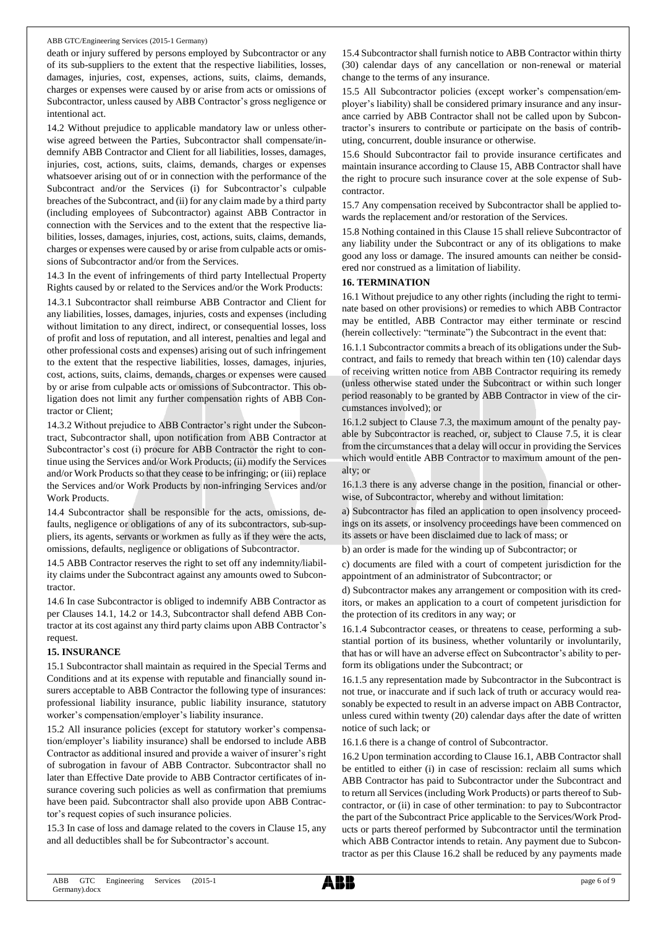death or injury suffered by persons employed by Subcontractor or any of its sub-suppliers to the extent that the respective liabilities, losses, damages, injuries, cost, expenses, actions, suits, claims, demands, charges or expenses were caused by or arise from acts or omissions of Subcontractor, unless caused by ABB Contractor's gross negligence or intentional act.

14.2 Without prejudice to applicable mandatory law or unless otherwise agreed between the Parties, Subcontractor shall compensate/indemnify ABB Contractor and Client for all liabilities, losses, damages, injuries, cost, actions, suits, claims, demands, charges or expenses whatsoever arising out of or in connection with the performance of the Subcontract and/or the Services (i) for Subcontractor's culpable breaches of the Subcontract, and (ii) for any claim made by a third party (including employees of Subcontractor) against ABB Contractor in connection with the Services and to the extent that the respective liabilities, losses, damages, injuries, cost, actions, suits, claims, demands, charges or expenses were caused by or arise from culpable acts or omissions of Subcontractor and/or from the Services.

14.3 In the event of infringements of third party Intellectual Property Rights caused by or related to the Services and/or the Work Products:

14.3.1 Subcontractor shall reimburse ABB Contractor and Client for any liabilities, losses, damages, injuries, costs and expenses (including without limitation to any direct, indirect, or consequential losses, loss of profit and loss of reputation, and all interest, penalties and legal and other professional costs and expenses) arising out of such infringement to the extent that the respective liabilities, losses, damages, injuries, cost, actions, suits, claims, demands, charges or expenses were caused by or arise from culpable acts or omissions of Subcontractor. This obligation does not limit any further compensation rights of ABB Contractor or Client;

14.3.2 Without prejudice to ABB Contractor's right under the Subcontract, Subcontractor shall, upon notification from ABB Contractor at Subcontractor's cost (i) procure for ABB Contractor the right to continue using the Services and/or Work Products; (ii) modify the Services and/or Work Products so that they cease to be infringing; or (iii) replace the Services and/or Work Products by non-infringing Services and/or Work Products.

14.4 Subcontractor shall be responsible for the acts, omissions, defaults, negligence or obligations of any of its subcontractors, sub-suppliers, its agents, servants or workmen as fully as if they were the acts, omissions, defaults, negligence or obligations of Subcontractor.

14.5 ABB Contractor reserves the right to set off any indemnity/liability claims under the Subcontract against any amounts owed to Subcontractor.

14.6 In case Subcontractor is obliged to indemnify ABB Contractor as per Clauses 14.1, 14.2 or 14.3, Subcontractor shall defend ABB Contractor at its cost against any third party claims upon ABB Contractor's request.

#### **15. INSURANCE**

15.1 Subcontractor shall maintain as required in the Special Terms and Conditions and at its expense with reputable and financially sound insurers acceptable to ABB Contractor the following type of insurances: professional liability insurance, public liability insurance, statutory worker's compensation/employer's liability insurance.

15.2 All insurance policies (except for statutory worker's compensation/employer's liability insurance) shall be endorsed to include ABB Contractor as additional insured and provide a waiver of insurer's right of subrogation in favour of ABB Contractor. Subcontractor shall no later than Effective Date provide to ABB Contractor certificates of insurance covering such policies as well as confirmation that premiums have been paid. Subcontractor shall also provide upon ABB Contractor's request copies of such insurance policies.

15.3 In case of loss and damage related to the covers in Clause 15, any and all deductibles shall be for Subcontractor's account.

15.4 Subcontractor shall furnish notice to ABB Contractor within thirty (30) calendar days of any cancellation or non-renewal or material change to the terms of any insurance.

15.5 All Subcontractor policies (except worker's compensation/employer's liability) shall be considered primary insurance and any insurance carried by ABB Contractor shall not be called upon by Subcontractor's insurers to contribute or participate on the basis of contributing, concurrent, double insurance or otherwise.

15.6 Should Subcontractor fail to provide insurance certificates and maintain insurance according to Clause 15, ABB Contractor shall have the right to procure such insurance cover at the sole expense of Subcontractor.

15.7 Any compensation received by Subcontractor shall be applied towards the replacement and/or restoration of the Services.

15.8 Nothing contained in this Clause 15 shall relieve Subcontractor of any liability under the Subcontract or any of its obligations to make good any loss or damage. The insured amounts can neither be considered nor construed as a limitation of liability.

#### **16. TERMINATION**

16.1 Without prejudice to any other rights (including the right to terminate based on other provisions) or remedies to which ABB Contractor may be entitled, ABB Contractor may either terminate or rescind (herein collectively: "terminate") the Subcontract in the event that:

16.1.1 Subcontractor commits a breach of its obligations under the Subcontract, and fails to remedy that breach within ten (10) calendar days of receiving written notice from ABB Contractor requiring its remedy (unless otherwise stated under the Subcontract or within such longer period reasonably to be granted by ABB Contractor in view of the circumstances involved); or

16.1.2 subject to Clause 7.3, the maximum amount of the penalty payable by Subcontractor is reached, or, subject to Clause 7.5, it is clear from the circumstances that a delay will occur in providing the Services which would entitle ABB Contractor to maximum amount of the penalty; or

16.1.3 there is any adverse change in the position, financial or otherwise, of Subcontractor, whereby and without limitation:

a) Subcontractor has filed an application to open insolvency proceedings on its assets, or insolvency proceedings have been commenced on its assets or have been disclaimed due to lack of mass; or

b) an order is made for the winding up of Subcontractor; or

c) documents are filed with a court of competent jurisdiction for the appointment of an administrator of Subcontractor; or

d) Subcontractor makes any arrangement or composition with its creditors, or makes an application to a court of competent jurisdiction for the protection of its creditors in any way; or

16.1.4 Subcontractor ceases, or threatens to cease, performing a substantial portion of its business, whether voluntarily or involuntarily, that has or will have an adverse effect on Subcontractor's ability to perform its obligations under the Subcontract; or

16.1.5 any representation made by Subcontractor in the Subcontract is not true, or inaccurate and if such lack of truth or accuracy would reasonably be expected to result in an adverse impact on ABB Contractor, unless cured within twenty (20) calendar days after the date of written notice of such lack; or

16.1.6 there is a change of control of Subcontractor.

16.2 Upon termination according to Clause 16.1, ABB Contractor shall be entitled to either (i) in case of rescission: reclaim all sums which ABB Contractor has paid to Subcontractor under the Subcontract and to return all Services (including Work Products) or parts thereof to Subcontractor, or (ii) in case of other termination: to pay to Subcontractor the part of the Subcontract Price applicable to the Services/Work Products or parts thereof performed by Subcontractor until the termination which ABB Contractor intends to retain. Any payment due to Subcontractor as per this Clause 16.2 shall be reduced by any payments made

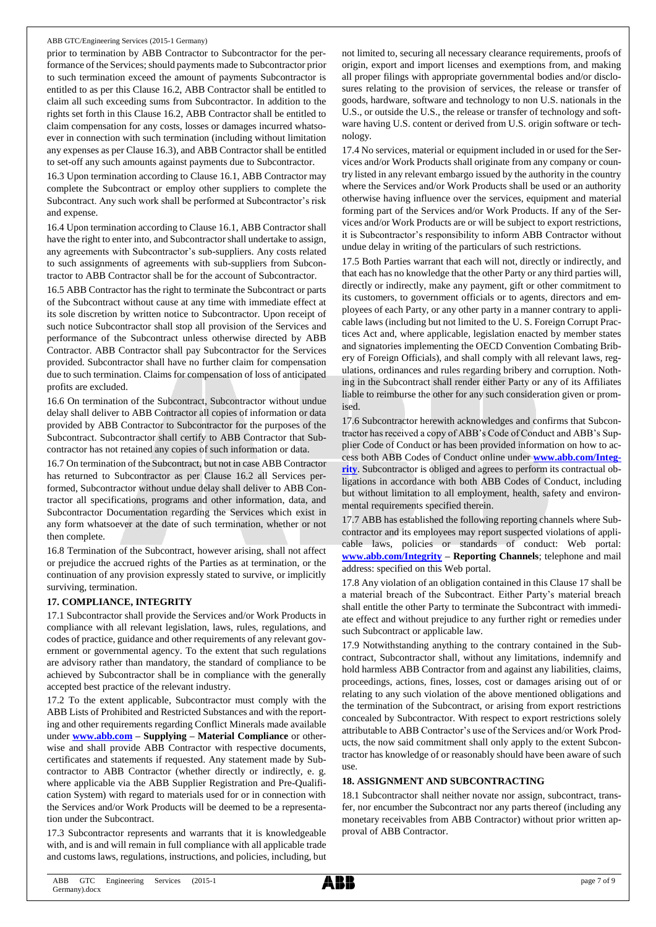prior to termination by ABB Contractor to Subcontractor for the performance of the Services; should payments made to Subcontractor prior to such termination exceed the amount of payments Subcontractor is entitled to as per this Clause 16.2, ABB Contractor shall be entitled to claim all such exceeding sums from Subcontractor. In addition to the rights set forth in this Clause 16.2, ABB Contractor shall be entitled to claim compensation for any costs, losses or damages incurred whatsoever in connection with such termination (including without limitation any expenses as per Clause 16.3), and ABB Contractor shall be entitled to set-off any such amounts against payments due to Subcontractor.

16.3 Upon termination according to Clause 16.1, ABB Contractor may complete the Subcontract or employ other suppliers to complete the Subcontract. Any such work shall be performed at Subcontractor's risk and expense.

16.4 Upon termination according to Clause 16.1, ABB Contractor shall have the right to enter into, and Subcontractor shall undertake to assign, any agreements with Subcontractor's sub-suppliers. Any costs related to such assignments of agreements with sub-suppliers from Subcontractor to ABB Contractor shall be for the account of Subcontractor.

16.5 ABB Contractor has the right to terminate the Subcontract or parts of the Subcontract without cause at any time with immediate effect at its sole discretion by written notice to Subcontractor. Upon receipt of such notice Subcontractor shall stop all provision of the Services and performance of the Subcontract unless otherwise directed by ABB Contractor. ABB Contractor shall pay Subcontractor for the Services provided. Subcontractor shall have no further claim for compensation due to such termination. Claims for compensation of loss of anticipated profits are excluded.

16.6 On termination of the Subcontract, Subcontractor without undue delay shall deliver to ABB Contractor all copies of information or data provided by ABB Contractor to Subcontractor for the purposes of the Subcontract. Subcontractor shall certify to ABB Contractor that Subcontractor has not retained any copies of such information or data.

16.7 On termination of the Subcontract, but not in case ABB Contractor has returned to Subcontractor as per Clause 16.2 all Services performed, Subcontractor without undue delay shall deliver to ABB Contractor all specifications, programs and other information, data, and Subcontractor Documentation regarding the Services which exist in any form whatsoever at the date of such termination, whether or not then complete.

16.8 Termination of the Subcontract, however arising, shall not affect or prejudice the accrued rights of the Parties as at termination, or the continuation of any provision expressly stated to survive, or implicitly surviving, termination.

## **17. COMPLIANCE, INTEGRITY**

17.1 Subcontractor shall provide the Services and/or Work Products in compliance with all relevant legislation, laws, rules, regulations, and codes of practice, guidance and other requirements of any relevant government or governmental agency. To the extent that such regulations are advisory rather than mandatory, the standard of compliance to be achieved by Subcontractor shall be in compliance with the generally accepted best practice of the relevant industry.

17.2 To the extent applicable, Subcontractor must comply with the ABB Lists of Prohibited and Restricted Substances and with the reporting and other requirements regarding Conflict Minerals made available under **[www.abb.com](http://www.abb.com/) – Supplying – Material Compliance** or otherwise and shall provide ABB Contractor with respective documents, certificates and statements if requested. Any statement made by Subcontractor to ABB Contractor (whether directly or indirectly, e. g. where applicable via the ABB Supplier Registration and Pre-Qualification System) with regard to materials used for or in connection with the Services and/or Work Products will be deemed to be a representation under the Subcontract.

17.3 Subcontractor represents and warrants that it is knowledgeable with, and is and will remain in full compliance with all applicable trade and customs laws, regulations, instructions, and policies, including, but not limited to, securing all necessary clearance requirements, proofs of origin, export and import licenses and exemptions from, and making all proper filings with appropriate governmental bodies and/or disclosures relating to the provision of services, the release or transfer of goods, hardware, software and technology to non U.S. nationals in the U.S., or outside the U.S., the release or transfer of technology and software having U.S. content or derived from U.S. origin software or technology.

17.4 No services, material or equipment included in or used for the Services and/or Work Products shall originate from any company or country listed in any relevant embargo issued by the authority in the country where the Services and/or Work Products shall be used or an authority otherwise having influence over the services, equipment and material forming part of the Services and/or Work Products. If any of the Services and/or Work Products are or will be subject to export restrictions, it is Subcontractor's responsibility to inform ABB Contractor without undue delay in writing of the particulars of such restrictions.

17.5 Both Parties warrant that each will not, directly or indirectly, and that each has no knowledge that the other Party or any third parties will, directly or indirectly, make any payment, gift or other commitment to its customers, to government officials or to agents, directors and employees of each Party, or any other party in a manner contrary to applicable laws (including but not limited to the U. S. Foreign Corrupt Practices Act and, where applicable, legislation enacted by member states and signatories implementing the OECD Convention Combating Bribery of Foreign Officials), and shall comply with all relevant laws, regulations, ordinances and rules regarding bribery and corruption. Nothing in the Subcontract shall render either Party or any of its Affiliates liable to reimburse the other for any such consideration given or promised.

17.6 Subcontractor herewith acknowledges and confirms that Subcontractor has received a copy of ABB's Code of Conduct and ABB's Supplier Code of Conduct or has been provided information on how to access both ABB Codes of Conduct online under **[www.abb.com/Integ](http://www.abb.com/Integrity)[rity](http://www.abb.com/Integrity)**. Subcontractor is obliged and agrees to perform its contractual obligations in accordance with both ABB Codes of Conduct, including but without limitation to all employment, health, safety and environmental requirements specified therein.

17.7 ABB has established the following reporting channels where Subcontractor and its employees may report suspected violations of applicable laws, policies or standards of conduct: Web portal: **[www.abb.com/Integrity](http://www.abb.com/Integrity) – Reporting Channels**; telephone and mail address: specified on this Web portal.

17.8 Any violation of an obligation contained in this Clause 17 shall be a material breach of the Subcontract. Either Party's material breach shall entitle the other Party to terminate the Subcontract with immediate effect and without prejudice to any further right or remedies under such Subcontract or applicable law.

17.9 Notwithstanding anything to the contrary contained in the Subcontract, Subcontractor shall, without any limitations, indemnify and hold harmless ABB Contractor from and against any liabilities, claims, proceedings, actions, fines, losses, cost or damages arising out of or relating to any such violation of the above mentioned obligations and the termination of the Subcontract, or arising from export restrictions concealed by Subcontractor. With respect to export restrictions solely attributable to ABB Contractor's use of the Services and/or Work Products, the now said commitment shall only apply to the extent Subcontractor has knowledge of or reasonably should have been aware of such use.

#### **18. ASSIGNMENT AND SUBCONTRACTING**

18.1 Subcontractor shall neither novate nor assign, subcontract, transfer, nor encumber the Subcontract nor any parts thereof (including any monetary receivables from ABB Contractor) without prior written approval of ABB Contractor.

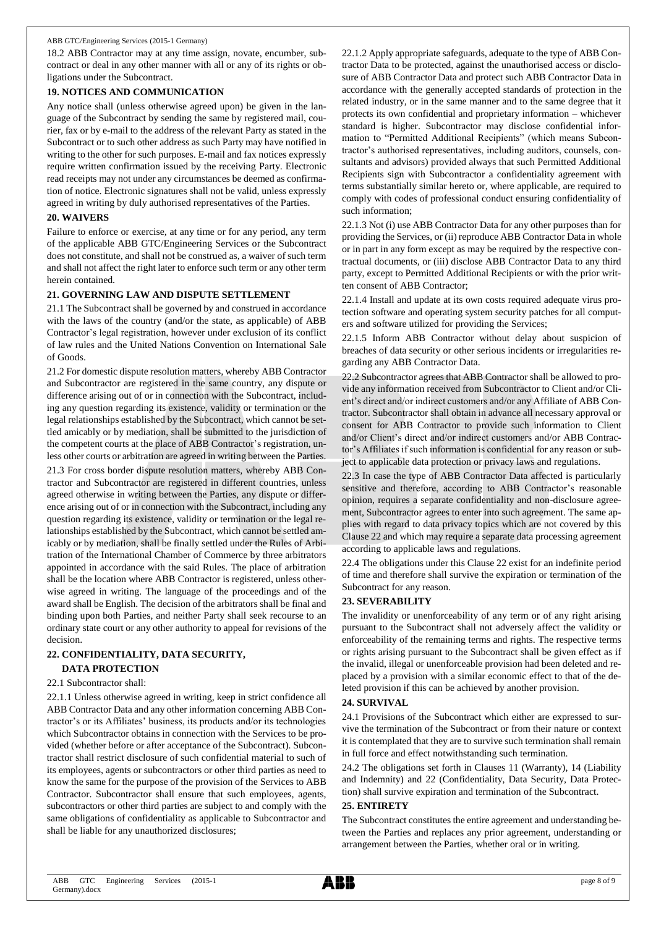18.2 ABB Contractor may at any time assign, novate, encumber, subcontract or deal in any other manner with all or any of its rights or obligations under the Subcontract.

#### **19. NOTICES AND COMMUNICATION**

Any notice shall (unless otherwise agreed upon) be given in the language of the Subcontract by sending the same by registered mail, courier, fax or by e-mail to the address of the relevant Party as stated in the Subcontract or to such other address as such Party may have notified in writing to the other for such purposes. E-mail and fax notices expressly require written confirmation issued by the receiving Party. Electronic read receipts may not under any circumstances be deemed as confirmation of notice. Electronic signatures shall not be valid, unless expressly agreed in writing by duly authorised representatives of the Parties.

#### **20. WAIVERS**

Failure to enforce or exercise, at any time or for any period, any term of the applicable ABB GTC/Engineering Services or the Subcontract does not constitute, and shall not be construed as, a waiver of such term and shall not affect the right later to enforce such term or any other term herein contained.

#### **21. GOVERNING LAW AND DISPUTE SETTLEMENT**

21.1 The Subcontract shall be governed by and construed in accordance with the laws of the country (and/or the state, as applicable) of ABB Contractor's legal registration, however under exclusion of its conflict of law rules and the United Nations Convention on International Sale of Goods.

21.2 For domestic dispute resolution matters, whereby ABB Contractor and Subcontractor are registered in the same country, any dispute or difference arising out of or in connection with the Subcontract, including any question regarding its existence, validity or termination or the legal relationships established by the Subcontract, which cannot be settled amicably or by mediation, shall be submitted to the jurisdiction of the competent courts at the place of ABB Contractor's registration, unless other courts or arbitration are agreed in writing between the Parties. 21.3 For cross border dispute resolution matters, whereby ABB Contractor and Subcontractor are registered in different countries, unless agreed otherwise in writing between the Parties, any dispute or difference arising out of or in connection with the Subcontract, including any question regarding its existence, validity or termination or the legal relationships established by the Subcontract, which cannot be settled amicably or by mediation, shall be finally settled under the Rules of Arbitration of the International Chamber of Commerce by three arbitrators appointed in accordance with the said Rules. The place of arbitration shall be the location where ABB Contractor is registered, unless otherwise agreed in writing. The language of the proceedings and of the award shall be English. The decision of the arbitrators shall be final and binding upon both Parties, and neither Party shall seek recourse to an ordinary state court or any other authority to appeal for revisions of the decision.

#### **22. CONFIDENTIALITY, DATA SECURITY, DATA PROTECTION**

#### 22.1 Subcontractor shall:

22.1.1 Unless otherwise agreed in writing, keep in strict confidence all ABB Contractor Data and any other information concerning ABB Contractor's or its Affiliates' business, its products and/or its technologies which Subcontractor obtains in connection with the Services to be provided (whether before or after acceptance of the Subcontract). Subcontractor shall restrict disclosure of such confidential material to such of its employees, agents or subcontractors or other third parties as need to know the same for the purpose of the provision of the Services to ABB Contractor. Subcontractor shall ensure that such employees, agents, subcontractors or other third parties are subject to and comply with the same obligations of confidentiality as applicable to Subcontractor and shall be liable for any unauthorized disclosures;

22.1.2 Apply appropriate safeguards, adequate to the type of ABB Contractor Data to be protected, against the unauthorised access or disclosure of ABB Contractor Data and protect such ABB Contractor Data in accordance with the generally accepted standards of protection in the related industry, or in the same manner and to the same degree that it protects its own confidential and proprietary information – whichever standard is higher. Subcontractor may disclose confidential information to "Permitted Additional Recipients" (which means Subcontractor's authorised representatives, including auditors, counsels, consultants and advisors) provided always that such Permitted Additional Recipients sign with Subcontractor a confidentiality agreement with terms substantially similar hereto or, where applicable, are required to comply with codes of professional conduct ensuring confidentiality of such information;

22.1.3 Not (i) use ABB Contractor Data for any other purposes than for providing the Services, or (ii) reproduce ABB Contractor Data in whole or in part in any form except as may be required by the respective contractual documents, or (iii) disclose ABB Contractor Data to any third party, except to Permitted Additional Recipients or with the prior written consent of ABB Contractor;

22.1.4 Install and update at its own costs required adequate virus protection software and operating system security patches for all computers and software utilized for providing the Services;

22.1.5 Inform ABB Contractor without delay about suspicion of breaches of data security or other serious incidents or irregularities regarding any ABB Contractor Data.

22.2 Subcontractor agrees that ABB Contractor shall be allowed to provide any information received from Subcontractor to Client and/or Client's direct and/or indirect customers and/or any Affiliate of ABB Contractor. Subcontractor shall obtain in advance all necessary approval or consent for ABB Contractor to provide such information to Client and/or Client's direct and/or indirect customers and/or ABB Contractor's Affiliates if such information is confidential for any reason or subject to applicable data protection or privacy laws and regulations.

22.3 In case the type of ABB Contractor Data affected is particularly sensitive and therefore, according to ABB Contractor's reasonable opinion, requires a separate confidentiality and non-disclosure agreement, Subcontractor agrees to enter into such agreement. The same applies with regard to data privacy topics which are not covered by this Clause 22 and which may require a separate data processing agreement according to applicable laws and regulations.

22.4 The obligations under this Clause 22 exist for an indefinite period of time and therefore shall survive the expiration or termination of the Subcontract for any reason.

# **23. SEVERABILITY**

The invalidity or unenforceability of any term or of any right arising pursuant to the Subcontract shall not adversely affect the validity or enforceability of the remaining terms and rights. The respective terms or rights arising pursuant to the Subcontract shall be given effect as if the invalid, illegal or unenforceable provision had been deleted and replaced by a provision with a similar economic effect to that of the deleted provision if this can be achieved by another provision.

## **24. SURVIVAL**

24.1 Provisions of the Subcontract which either are expressed to survive the termination of the Subcontract or from their nature or context it is contemplated that they are to survive such termination shall remain in full force and effect notwithstanding such termination.

24.2 The obligations set forth in Clauses 11 (Warranty), 14 (Liability and Indemnity) and 22 (Confidentiality, Data Security, Data Protection) shall survive expiration and termination of the Subcontract.

## **25. ENTIRETY**

The Subcontract constitutes the entire agreement and understanding between the Parties and replaces any prior agreement, understanding or arrangement between the Parties, whether oral or in writing.